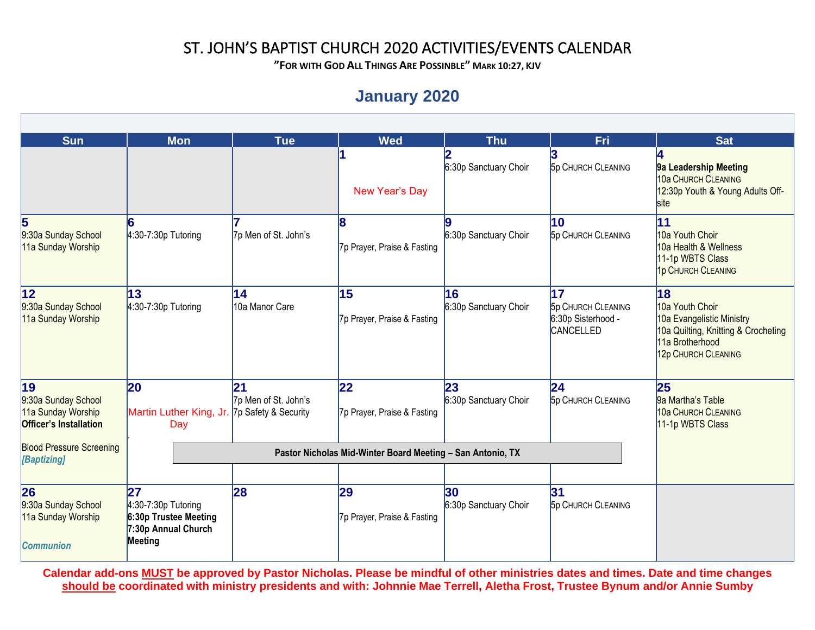**"FOR WITH GOD ALL THINGS ARE POSSINBLE" MARK 10:27, KJV**

## **January 2020**

| Sun                                                                              | <b>Mon</b>                                                                             | <b>Tue</b>                 | <b>Wed</b>                         | <b>Thu</b>                               | Fri                                                                       | <b>Sat</b>                                                                                                                          |
|----------------------------------------------------------------------------------|----------------------------------------------------------------------------------------|----------------------------|------------------------------------|------------------------------------------|---------------------------------------------------------------------------|-------------------------------------------------------------------------------------------------------------------------------------|
|                                                                                  |                                                                                        |                            | New Year's Day                     | 6:30p Sanctuary Choir                    | <b>5p CHURCH CLEANING</b>                                                 | 9a Leadership Meeting<br>10a CHURCH CLEANING<br>12:30p Youth & Young Adults Off-<br>site                                            |
| 5<br>9:30a Sunday School<br>11a Sunday Worship                                   | $4:30-7:30p$ Tutoring                                                                  | 7p Men of St. John's       | 18<br>7p Prayer, Praise & Fasting  | 6:30p Sanctuary Choir                    | $\overline{10}$<br><b>5p CHURCH CLEANING</b>                              | 11<br>10a Youth Choir<br>10a Health & Wellness<br>11-1p WBTS Class<br>1p CHURCH CLEANING                                            |
| 12 <br>9:30a Sunday School<br>11a Sunday Worship                                 | 13<br>$4:30-7:30p$ Tutoring                                                            | 14<br>10a Manor Care       | 15<br>7p Prayer, Praise & Fasting  | 16<br>6:30p Sanctuary Choir              | 17<br><b>5p CHURCH CLEANING</b><br>6:30p Sisterhood -<br><b>CANCELLED</b> | 18<br>10a Youth Choir<br>10a Evangelistic Ministry<br>10a Quilting, Knitting & Crocheting<br>11a Brotherhood<br>12p CHURCH CLEANING |
| 19<br>9:30a Sunday School<br>11a Sunday Worship<br><b>Officer's Installation</b> | $ 20\rangle$<br>Martin Luther King, Jr. 7p Safety & Security<br>Day                    | 21<br>7p Men of St. John's | 22 <br>7p Prayer, Praise & Fasting | 23<br>6:30p Sanctuary Choir              | 24<br><b>5p CHURCH CLEANING</b>                                           | 25<br>9a Martha's Table<br><b>10a CHURCH CLEANING</b><br>11-1p WBTS Class                                                           |
| <b>Blood Pressure Screening</b><br>[Baptizing]                                   |                                                                                        |                            |                                    |                                          |                                                                           |                                                                                                                                     |
| 26<br>9:30a Sunday School<br>11a Sunday Worship<br><b>Communion</b>              | 27<br>$4:30-7:30p$ Tutoring<br>6:30p Trustee Meeting<br>7:30p Annual Church<br>Meeting | 28                         | 29<br>7p Prayer, Praise & Fasting  | 30 <sub>o</sub><br>6:30p Sanctuary Choir | 31<br><b>5p CHURCH CLEANING</b>                                           |                                                                                                                                     |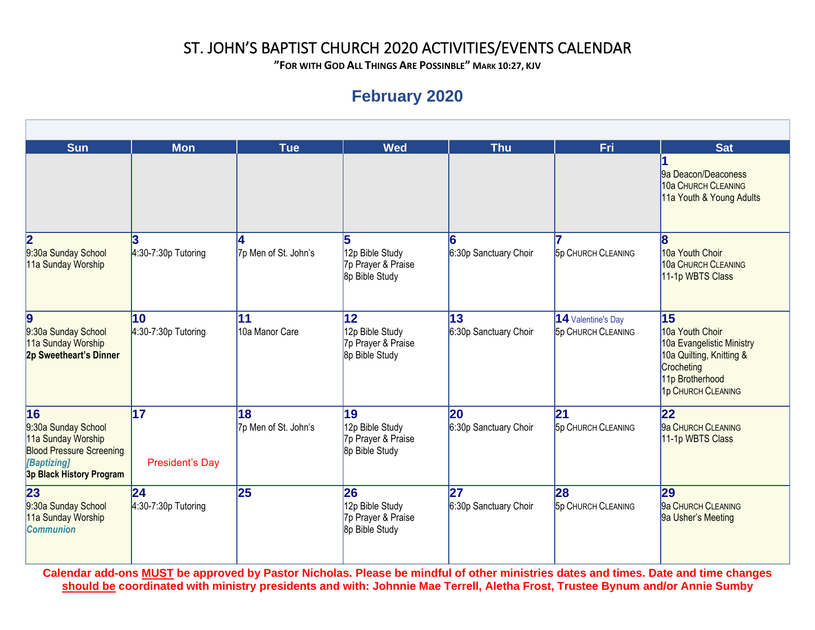**"FOR WITH GOD ALL THINGS ARE POSSINBLE" MARK 10:27, KJV**

# **February 2020**

| <b>Sun</b>                                                                                                              | <b>Mon</b>             | <b>Tue</b>           | <b>Wed</b>                                              | <b>Thu</b>            | <b>Fri</b>                | <b>Sat</b>                                                                                                                      |
|-------------------------------------------------------------------------------------------------------------------------|------------------------|----------------------|---------------------------------------------------------|-----------------------|---------------------------|---------------------------------------------------------------------------------------------------------------------------------|
|                                                                                                                         |                        |                      |                                                         |                       |                           | 9a Deacon/Deaconess<br>10a CHURCH CLEANING<br>11a Youth & Young Adults                                                          |
| $\overline{\mathbf{2}}$                                                                                                 |                        |                      |                                                         |                       |                           | 8                                                                                                                               |
| 9:30a Sunday School<br>11a Sunday Worship                                                                               | $4:30-7:30p$ Tutoring  | 7p Men of St. John's | 12p Bible Study<br>7p Prayer & Praise<br>8p Bible Study | 6:30p Sanctuary Choir | <b>5p CHURCH CLEANING</b> | 10a Youth Choir<br>10a CHURCH CLEANING<br>11-1p WBTS Class                                                                      |
| 9                                                                                                                       | 10                     | 11                   | 12                                                      | 13                    | 14 Valentine's Day        | 15                                                                                                                              |
| 9:30a Sunday School<br>11a Sunday Worship<br>2p Sweetheart's Dinner                                                     | $4:30-7:30p$ Tutoring  | 10a Manor Care       | 12p Bible Study<br>7p Prayer & Praise<br>8p Bible Study | 6:30p Sanctuary Choir | <b>5p CHURCH CLEANING</b> | 10a Youth Choir<br>10a Evangelistic Ministry<br>10a Quilting, Knitting &<br>Crocheting<br>11p Brotherhood<br>1p CHURCH CLEANING |
| 16                                                                                                                      | 17                     | 18                   | 19                                                      | 20                    | 21                        | 22                                                                                                                              |
| 9:30a Sunday School<br>11a Sunday Worship<br><b>Blood Pressure Screening</b><br>[Baptizing]<br>3p Black History Program | <b>President's Day</b> | 7p Men of St. John's | 12p Bible Study<br>7p Prayer & Praise<br>8p Bible Study | 6:30p Sanctuary Choir | <b>5p CHURCH CLEANING</b> | 9a CHURCH CLEANING<br>11-1p WBTS Class                                                                                          |
| 23                                                                                                                      | 24                     | 25                   | 26                                                      | 27                    | 28                        | 29                                                                                                                              |
| 9:30a Sunday School<br>11a Sunday Worship<br><b>Communion</b>                                                           | $4:30-7:30p$ Tutoring  |                      | 12p Bible Study<br>7p Prayer & Praise<br>8p Bible Study | 6:30p Sanctuary Choir | <b>5p CHURCH CLEANING</b> | 9a CHURCH CLEANING<br>9a Usher's Meeting                                                                                        |
|                                                                                                                         |                        |                      |                                                         |                       |                           |                                                                                                                                 |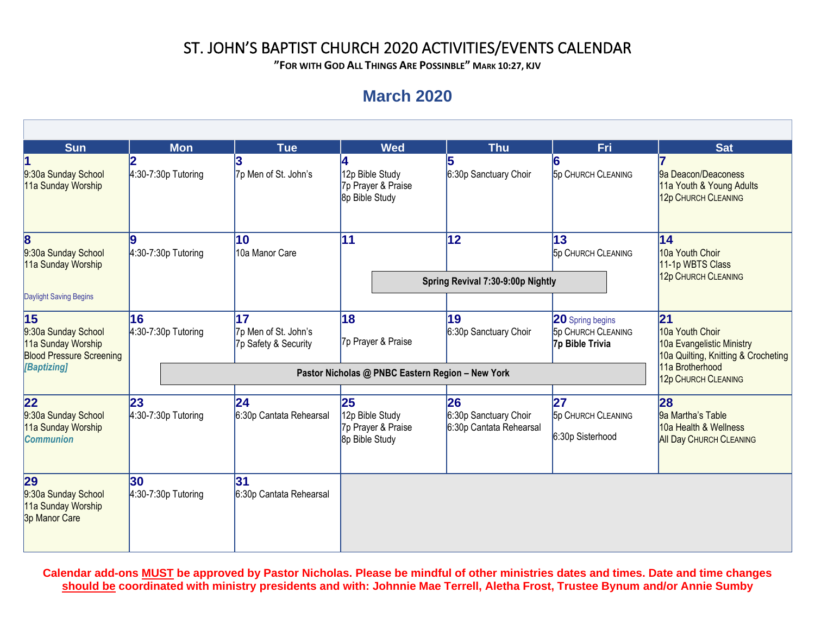**"FOR WITH GOD ALL THINGS ARE POSSINBLE" MARK 10:27, KJV**

# **March 2020**

| <b>Sun</b>                                                                         | <b>Mon</b>                   | <b>Tue</b>                                         | <b>Wed</b>                                                    | <b>Thu</b>                                             | Fri                                                                     | <b>Sat</b>                                                                                 |
|------------------------------------------------------------------------------------|------------------------------|----------------------------------------------------|---------------------------------------------------------------|--------------------------------------------------------|-------------------------------------------------------------------------|--------------------------------------------------------------------------------------------|
| 9:30a Sunday School<br>11a Sunday Worship                                          | $4:30-7:30p$ Tutoring        | 7p Men of St. John's                               | 12p Bible Study<br>7p Prayer & Praise<br>8p Bible Study       | 6:30p Sanctuary Choir                                  | <b>5p CHURCH CLEANING</b>                                               | 9a Deacon/Deaconess<br>11a Youth & Young Adults<br>12p CHURCH CLEANING                     |
| $\bf{8}$<br>9:30a Sunday School<br>11a Sunday Worship<br>Daylight Saving Begins    | $4:30-7:30p$ Tutoring        | 10<br>10a Manor Care                               | 11                                                            | $ 12\rangle$                                           | 13<br><b>5p CHURCH CLEANING</b>                                         | $\overline{14}$<br>10a Youth Choir<br>11-1p WBTS Class                                     |
|                                                                                    |                              |                                                    |                                                               | Spring Revival 7:30-9:00p Nightly                      |                                                                         | 12p CHURCH CLEANING                                                                        |
| 15<br>9:30a Sunday School<br>11a Sunday Worship<br><b>Blood Pressure Screening</b> | 16<br>$4:30-7:30p$ Tutoring  | 17<br>7p Men of St. John's<br>7p Safety & Security | 18<br>7p Prayer & Praise                                      | 19<br>6:30p Sanctuary Choir                            | <b>20</b> Spring begins<br><b>5p CHURCH CLEANING</b><br>7p Bible Trivia | 21 <br>10a Youth Choir<br>10a Evangelistic Ministry<br>10a Quilting, Knitting & Crocheting |
| [Baptizing]                                                                        |                              | 11a Brotherhood<br>12p CHURCH CLEANING             |                                                               |                                                        |                                                                         |                                                                                            |
| 22 <br>9:30a Sunday School<br>11a Sunday Worship<br><b>Communion</b>               | 23 <br>$4:30-7:30p$ Tutoring | $\overline{24}$<br>6:30p Cantata Rehearsal         | 25<br>12p Bible Study<br>7p Prayer & Praise<br>8p Bible Study | 26<br>6:30p Sanctuary Choir<br>6:30p Cantata Rehearsal | 27<br><b>5p CHURCH CLEANING</b><br>6:30p Sisterhood                     | 28<br>9a Martha's Table<br>10a Health & Wellness<br><b>All Day CHURCH CLEANING</b>         |
| 29<br>9:30a Sunday School<br>11a Sunday Worship<br>3p Manor Care                   | 30 <br>$4:30-7:30p$ Tutoring | 31<br>6:30p Cantata Rehearsal                      |                                                               |                                                        |                                                                         |                                                                                            |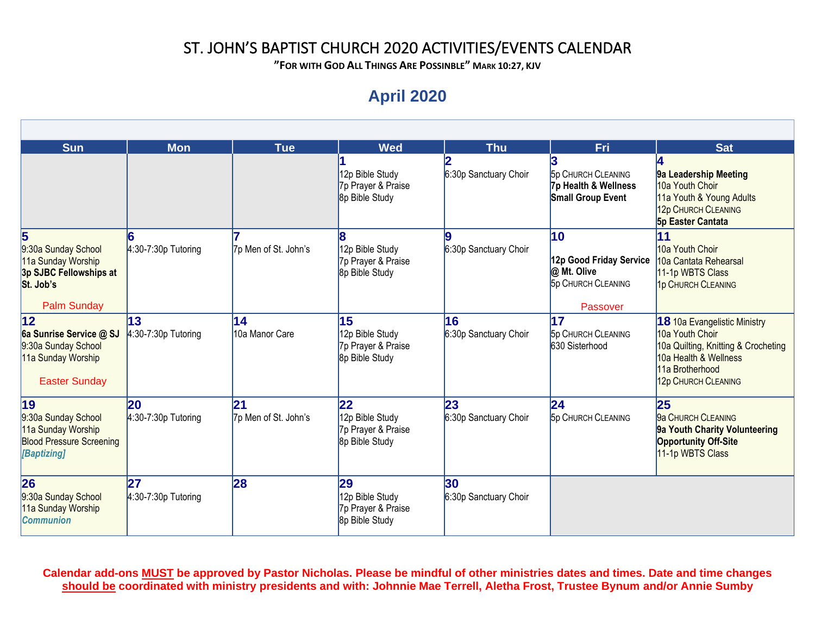**"FOR WITH GOD ALL THINGS ARE POSSINBLE" MARK 10:27, KJV**

# **April 2020**

| <b>Sun</b>                                                                                                   | <b>Mon</b>                  | <b>Tue</b>                 | <b>Wed</b>                                                              | <b>Thu</b>                               | Fri                                                                                   | <b>Sat</b>                                                                                                                                                |
|--------------------------------------------------------------------------------------------------------------|-----------------------------|----------------------------|-------------------------------------------------------------------------|------------------------------------------|---------------------------------------------------------------------------------------|-----------------------------------------------------------------------------------------------------------------------------------------------------------|
|                                                                                                              |                             |                            | 12p Bible Study<br>7p Prayer & Praise<br>8p Bible Study                 | 6:30p Sanctuary Choir                    | <b>5p CHURCH CLEANING</b><br>7p Health & Wellness<br><b>Small Group Event</b>         | 9a Leadership Meeting<br>10a Youth Choir<br>11a Youth & Young Adults<br>12p CHURCH CLEANING<br><b>5p Easter Cantata</b>                                   |
| 5<br>9:30a Sunday School<br>11a Sunday Worship<br>3p SJBC Fellowships at<br>St. Job's<br><b>Palm Sunday</b>  | $4:30-7:30p$ Tutoring       | 7p Men of St. John's       | 12p Bible Study<br>7p Prayer & Praise<br>8p Bible Study                 | 6:30p Sanctuary Choir                    | 10<br>12p Good Friday Service<br>@ Mt. Olive<br><b>5p CHURCH CLEANING</b><br>Passover | 11<br>10a Youth Choir<br>10a Cantata Rehearsal<br>11-1p WBTS Class<br>1p CHURCH CLEANING                                                                  |
| $ 12\rangle$<br>6a Sunrise Service @ SJ<br>9:30a Sunday School<br>11a Sunday Worship<br><b>Easter Sunday</b> | 13<br>$4:30-7:30p$ Tutoring | 14<br>10a Manor Care       | 15<br>12p Bible Study<br>7p Prayer & Praise<br>8p Bible Study           | 16<br>6:30p Sanctuary Choir              | 17<br><b>5p CHURCH CLEANING</b><br>630 Sisterhood                                     | 18 10a Evangelistic Ministry<br>10a Youth Choir<br>10a Quilting, Knitting & Crocheting<br>10a Health & Wellness<br>11a Brotherhood<br>12p CHURCH CLEANING |
| $ 19\rangle$<br>9:30a Sunday School<br>11a Sunday Worship<br><b>Blood Pressure Screening</b><br>[Baptizing]  | 20<br>$4:30-7:30p$ Tutoring | 21<br>7p Men of St. John's | $ 22\rangle$<br>12p Bible Study<br>7p Prayer & Praise<br>8p Bible Study | $\overline{23}$<br>6:30p Sanctuary Choir | 24<br><b>5p CHURCH CLEANING</b>                                                       | 25<br>9a CHURCH CLEANING<br>9a Youth Charity Volunteering<br><b>Opportunity Off-Site</b><br>11-1p WBTS Class                                              |
| 26<br>9:30a Sunday School<br>11a Sunday Worship<br><b>Communion</b>                                          | 27<br>$4:30-7:30p$ Tutoring | 28                         | 29<br>12p Bible Study<br>7p Prayer & Praise<br>8p Bible Study           | 30<br>6:30p Sanctuary Choir              |                                                                                       |                                                                                                                                                           |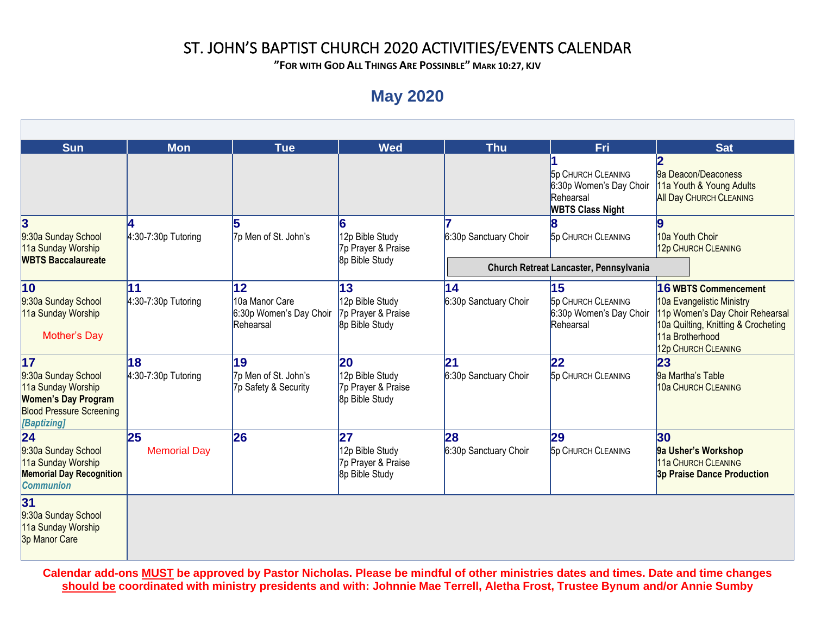**"FOR WITH GOD ALL THINGS ARE POSSINBLE" MARK 10:27, KJV**

## **May 2020**

| <b>Sun</b>                                                                                                                      | <b>Mon</b>                  | <b>Tue</b>                                                   | <b>Wed</b>                                                    | <b>Thu</b>                               | Fri                                                                                          | <b>Sat</b>                                                                                                                                                                   |
|---------------------------------------------------------------------------------------------------------------------------------|-----------------------------|--------------------------------------------------------------|---------------------------------------------------------------|------------------------------------------|----------------------------------------------------------------------------------------------|------------------------------------------------------------------------------------------------------------------------------------------------------------------------------|
|                                                                                                                                 |                             |                                                              |                                                               |                                          | <b>5p CHURCH CLEANING</b><br>6:30p Women's Day Choir<br>Rehearsal<br><b>WBTS Class Night</b> | 9a Deacon/Deaconess<br>11a Youth & Young Adults<br><b>All Day CHURCH CLEANING</b>                                                                                            |
| $\bf{3}$<br>9:30a Sunday School<br>11a Sunday Worship                                                                           | $4:30-7:30p$ Tutoring       | 5<br>7p Men of St. John's                                    | 12p Bible Study<br>7p Prayer & Praise                         | 6:30p Sanctuary Choir                    | <b>5p CHURCH CLEANING</b>                                                                    | 10a Youth Choir<br>12p CHURCH CLEANING                                                                                                                                       |
| <b>WBTS Baccalaureate</b>                                                                                                       |                             |                                                              | 8p Bible Study                                                |                                          | Church Retreat Lancaster, Pennsylvania                                                       |                                                                                                                                                                              |
| 10<br>9:30a Sunday School<br>11a Sunday Worship<br><b>Mother's Day</b>                                                          | 11<br>$4:30-7:30p$ Tutoring | 12<br>10a Manor Care<br>6:30p Women's Day Choir<br>Rehearsal | 13<br>12p Bible Study<br>7p Prayer & Praise<br>8p Bible Study | $\overline{14}$<br>6:30p Sanctuary Choir | 15<br><b>5p CHURCH CLEANING</b><br>6:30p Women's Day Choir<br>Rehearsal                      | <b>16 WBTS Commencement</b><br>10a Evangelistic Ministry<br>11p Women's Day Choir Rehearsal<br>10a Quilting, Knitting & Crocheting<br>11a Brotherhood<br>12p CHURCH CLEANING |
| 17<br>9:30a Sunday School<br>11a Sunday Worship<br><b>Women's Day Program</b><br><b>Blood Pressure Screening</b><br>[Baptizing] | 18<br>$4:30-7:30p$ Tutoring | 19<br>7p Men of St. John's<br>7p Safety & Security           | 20<br>12p Bible Study<br>7p Prayer & Praise<br>8p Bible Study | 21<br>6:30p Sanctuary Choir              | 22<br><b>5p CHURCH CLEANING</b>                                                              | 23<br>9a Martha's Table<br>10a CHURCH CLEANING                                                                                                                               |
| $\overline{24}$<br>9:30a Sunday School<br>11a Sunday Worship<br><b>Memorial Day Recognition</b><br><b>Communion</b>             | 25<br><b>Memorial Day</b>   | 26                                                           | 27<br>12p Bible Study<br>7p Prayer & Praise<br>8p Bible Study | 28<br>6:30p Sanctuary Choir              | 29<br><b>5p CHURCH CLEANING</b>                                                              | 30<br>9a Usher's Workshop<br>11a CHURCH CLEANING<br><b>3p Praise Dance Production</b>                                                                                        |
| 31<br>9:30a Sunday School<br>11a Sunday Worship<br>3p Manor Care                                                                |                             |                                                              |                                                               |                                          |                                                                                              |                                                                                                                                                                              |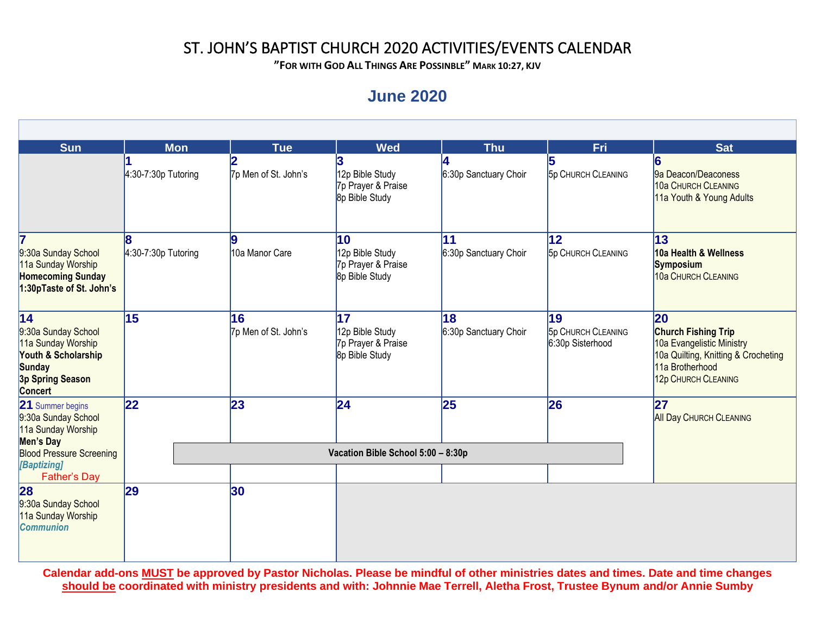**"FOR WITH GOD ALL THINGS ARE POSSINBLE" MARK 10:27, KJV**

### **June 2020**

| <b>Sun</b>                                                                                                             | <b>Mon</b>            | <b>Tue</b>                 | <b>Wed</b>                                                    | <b>Thu</b>                  | Fri                                                 | <b>Sat</b>                                                                                                                                     |
|------------------------------------------------------------------------------------------------------------------------|-----------------------|----------------------------|---------------------------------------------------------------|-----------------------------|-----------------------------------------------------|------------------------------------------------------------------------------------------------------------------------------------------------|
|                                                                                                                        | $4:30-7:30p$ Tutoring | 7p Men of St. John's       | 12p Bible Study<br>7p Prayer & Praise<br>8p Bible Study       | 6:30p Sanctuary Choir       | <b>5p CHURCH CLEANING</b>                           | 9a Deacon/Deaconess<br>10a CHURCH CLEANING<br>11a Youth & Young Adults                                                                         |
| 9:30a Sunday School<br>11a Sunday Worship<br><b>Homecoming Sunday</b><br>1:30pTaste of St. John's                      | $4:30-7:30p$ Tutoring | 10a Manor Care             | 10<br>12p Bible Study<br>7p Prayer & Praise<br>8p Bible Study | 11<br>6:30p Sanctuary Choir | 12<br><b>5p CHURCH CLEANING</b>                     | 13<br>10a Health & Wellness<br><b>Symposium</b><br>10a CHURCH CLEANING                                                                         |
| 14<br>9:30a Sunday School<br>11a Sunday Worship<br>Youth & Scholarship<br>Sunday<br>3p Spring Season<br><b>Concert</b> | 15                    | 16<br>7p Men of St. John's | 17<br>12p Bible Study<br>7p Prayer & Praise<br>8p Bible Study | 18<br>6:30p Sanctuary Choir | 19<br><b>5p CHURCH CLEANING</b><br>6:30p Sisterhood | 20<br><b>Church Fishing Trip</b><br>10a Evangelistic Ministry<br>10a Quilting, Knitting & Crocheting<br>11a Brotherhood<br>12p CHURCH CLEANING |
| 21 Summer begins<br>9:30a Sunday School<br>11a Sunday Worship<br>Men's Day                                             | 22                    | 23                         | 24                                                            | 25                          | 26                                                  | 27<br><b>All Day CHURCH CLEANING</b>                                                                                                           |
| <b>Blood Pressure Screening</b><br>[Baptizing]                                                                         |                       |                            |                                                               |                             |                                                     |                                                                                                                                                |
| <b>Father's Day</b><br>28<br>9:30a Sunday School<br>11a Sunday Worship<br><b>Communion</b>                             | 29                    | 30                         |                                                               |                             |                                                     |                                                                                                                                                |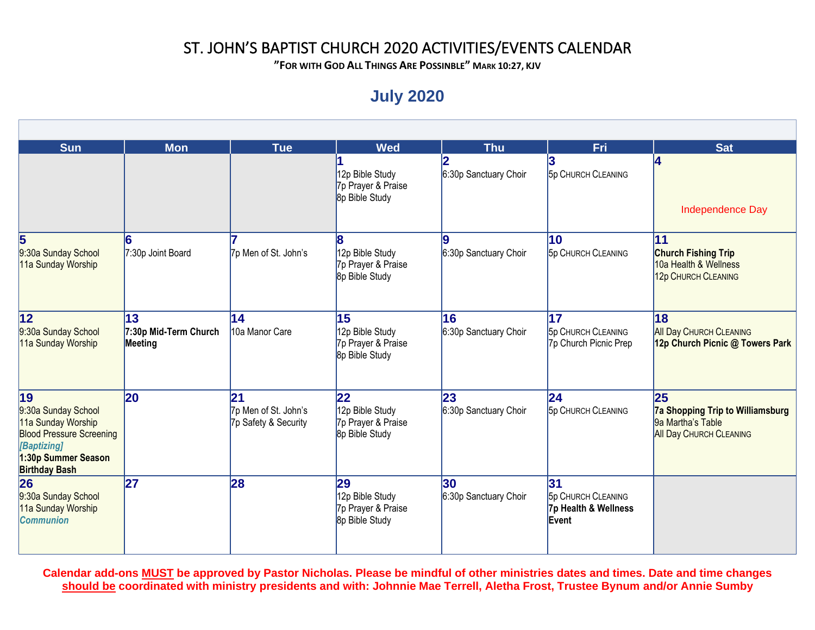**"FOR WITH GOD ALL THINGS ARE POSSINBLE" MARK 10:27, KJV**

# **July 2020**

| <b>Sun</b>                                                                                                                                       | <b>Mon</b>                             | <b>Tue</b>                                         | <b>Wed</b>                                                    | <b>Thu</b>                               | Fri                                                              | <b>Sat</b>                                                                                           |
|--------------------------------------------------------------------------------------------------------------------------------------------------|----------------------------------------|----------------------------------------------------|---------------------------------------------------------------|------------------------------------------|------------------------------------------------------------------|------------------------------------------------------------------------------------------------------|
|                                                                                                                                                  |                                        |                                                    | 12p Bible Study<br>7p Prayer & Praise<br>8p Bible Study       | 6:30p Sanctuary Choir                    | <b>5p CHURCH CLEANING</b>                                        | Independence Day                                                                                     |
| 5<br>9:30a Sunday School<br>11a Sunday Worship                                                                                                   | 16<br>7:30p Joint Board                | 7p Men of St. John's                               | 12p Bible Study<br>7p Prayer & Praise<br>8p Bible Study       | 6:30p Sanctuary Choir                    | 10<br><b>5p CHURCH CLEANING</b>                                  | 11<br><b>Church Fishing Trip</b><br>10a Health & Wellness<br>12p CHURCH CLEANING                     |
| 12 <br>9:30a Sunday School<br>11a Sunday Worship                                                                                                 | 13<br>7:30p Mid-Term Church<br>Meeting | 14<br>10a Manor Care                               | 15<br>12p Bible Study<br>7p Prayer & Praise<br>8p Bible Study | 16<br>6:30p Sanctuary Choir              | 17<br><b>5p CHURCH CLEANING</b><br>7p Church Picnic Prep         | 18<br><b>All Day CHURCH CLEANING</b><br>12p Church Picnic @ Towers Park                              |
| 19<br>9:30a Sunday School<br>11a Sunday Worship<br><b>Blood Pressure Screening</b><br>[Baptizing]<br>1:30p Summer Season<br><b>Birthday Bash</b> | $ 20\rangle$                           | 21<br>7p Men of St. John's<br>7p Safety & Security | 22<br>12p Bible Study<br>7p Prayer & Praise<br>8p Bible Study | 23<br>6:30p Sanctuary Choir              | 24 <br><b>5p CHURCH CLEANING</b>                                 | 25<br><b>7a Shopping Trip to Williamsburg</b><br>9a Martha's Table<br><b>All Day CHURCH CLEANING</b> |
| 26<br>9:30a Sunday School<br>11a Sunday Worship<br><b>Communion</b>                                                                              | 27                                     | 28                                                 | 29<br>12p Bible Study<br>7p Prayer & Praise<br>8p Bible Study | 30 <sub>o</sub><br>6:30p Sanctuary Choir | 31<br><b>5p CHURCH CLEANING</b><br>7p Health & Wellness<br>Event |                                                                                                      |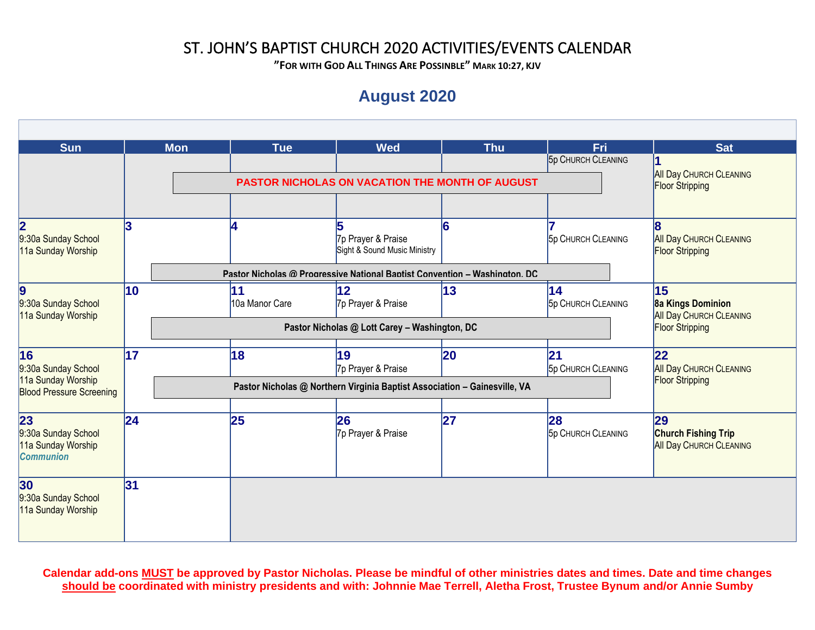**"FOR WITH GOD ALL THINGS ARE POSSINBLE" MARK 10:27, KJV**

# **August 2020**

| <b>Sun</b>                                                                         |    | <b>Mon</b> | <b>Tue</b>           | <b>Wed</b>                                                                                                                       | <b>Thu</b> | Fri<br><b>5p CHURCH CLEANING</b> | <b>Sat</b>                                                                                 |
|------------------------------------------------------------------------------------|----|------------|----------------------|----------------------------------------------------------------------------------------------------------------------------------|------------|----------------------------------|--------------------------------------------------------------------------------------------|
|                                                                                    |    |            |                      | <b>PASTOR NICHOLAS ON VACATION THE MONTH OF AUGUST</b>                                                                           |            |                                  | <b>All Day CHURCH CLEANING</b><br><b>Floor Stripping</b>                                   |
| 2<br>9:30a Sunday School<br>11a Sunday Worship                                     | 3  |            | 4                    | 7p Prayer & Praise<br>Sight & Sound Music Ministry<br>Pastor Nicholas @ Progressive National Baptist Convention - Washington, DC |            | <b>5p CHURCH CLEANING</b>        | 8<br><b>All Day CHURCH CLEANING</b><br><b>Floor Stripping</b>                              |
| Ι9<br>9:30a Sunday School<br>11a Sunday Worship                                    | 10 |            | 11<br>10a Manor Care | 12<br>7p Prayer & Praise<br>Pastor Nicholas @ Lott Carey - Washington, DC                                                        | 13         | 14<br><b>5p CHURCH CLEANING</b>  | 15<br><b>8a Kings Dominion</b><br><b>All Day CHURCH CLEANING</b><br><b>Floor Stripping</b> |
| 16<br>9:30a Sunday School<br>11a Sunday Worship<br><b>Blood Pressure Screening</b> | 17 |            | 18                   | 19<br>7p Prayer & Praise<br>Pastor Nicholas @ Northern Virginia Baptist Association - Gainesville, VA                            | 20         | 21<br><b>5p CHURCH CLEANING</b>  | $\overline{22}$<br><b>All Day CHURCH CLEANING</b><br><b>Floor Stripping</b>                |
| 23<br>9:30a Sunday School<br>11a Sunday Worship<br><b>Communion</b>                | 24 |            | 25                   | 26<br>7p Prayer & Praise                                                                                                         | 27         | 28<br><b>5p CHURCH CLEANING</b>  | 29<br><b>Church Fishing Trip</b><br><b>All Day CHURCH CLEANING</b>                         |
| 30<br>9:30a Sunday School<br>11a Sunday Worship                                    | 31 |            |                      |                                                                                                                                  |            |                                  |                                                                                            |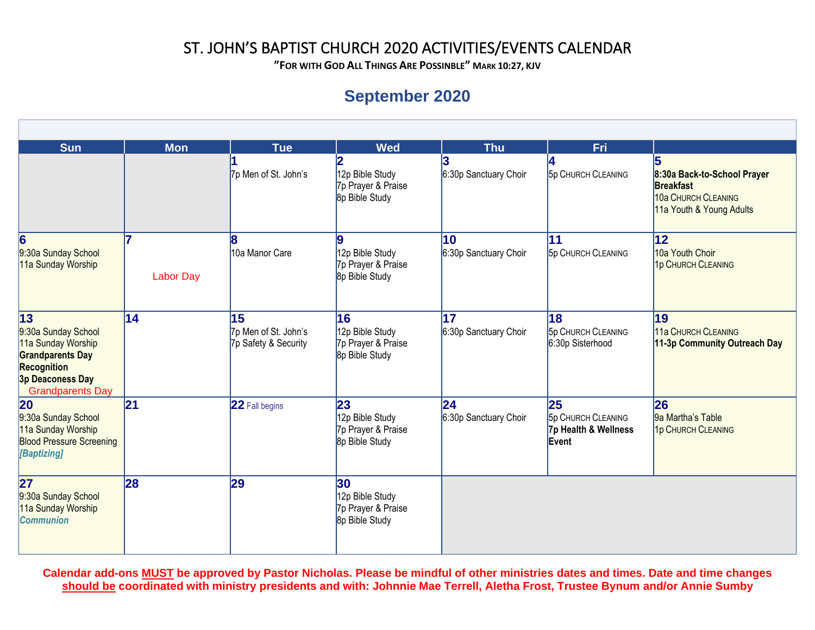**"FOR WITH GOD ALL THINGS ARE POSSINBLE" MARK 10:27, KJV**

# **September 2020**

| <b>Sun</b>                                                                                                                                       | <b>Mon</b>             | <b>Tue</b>                                         | <b>Wed</b>                                                    | <b>Thu</b>                  | Fri                                                              |                                                                                                    |
|--------------------------------------------------------------------------------------------------------------------------------------------------|------------------------|----------------------------------------------------|---------------------------------------------------------------|-----------------------------|------------------------------------------------------------------|----------------------------------------------------------------------------------------------------|
|                                                                                                                                                  |                        | 7p Men of St. John's                               | 12p Bible Study<br>7p Prayer & Praise<br>8p Bible Study       | 6:30p Sanctuary Choir       | <b>5p CHURCH CLEANING</b>                                        | 8:30a Back-to-School Prayer<br><b>Breakfast</b><br>10a CHURCH CLEANING<br>11a Youth & Young Adults |
| 6<br>9:30a Sunday School<br>11a Sunday Worship                                                                                                   | 17<br><b>Labor Day</b> | 10a Manor Care                                     | 12p Bible Study<br>7p Prayer & Praise<br>8p Bible Study       | 10<br>6:30p Sanctuary Choir | 11<br><b>5p CHURCH CLEANING</b>                                  | $ 12\rangle$<br>10a Youth Choir<br>1p CHURCH CLEANING                                              |
| 13 <br>9:30a Sunday School<br>11a Sunday Worship<br><b>Grandparents Day</b><br><b>Recognition</b><br>3p Deaconess Day<br><b>Grandparents Day</b> | 14                     | 15<br>7p Men of St. John's<br>7p Safety & Security | 16<br>12p Bible Study<br>7p Prayer & Praise<br>8p Bible Study | 17<br>6:30p Sanctuary Choir | 18<br><b>5p CHURCH CLEANING</b><br>6:30p Sisterhood              | 19<br>11a CHURCH CLEANING<br>11-3p Community Outreach Day                                          |
| 20<br>9:30a Sunday School<br>11a Sunday Worship<br><b>Blood Pressure Screening</b><br>[Baptizing]                                                | 21                     | 22 Fall begins                                     | 23<br>12p Bible Study<br>7p Prayer & Praise<br>8p Bible Study | 24<br>6:30p Sanctuary Choir | 25<br><b>5p CHURCH CLEANING</b><br>7p Health & Wellness<br>Event | 26<br>9a Martha's Table<br>1p CHURCH CLEANING                                                      |
| 27<br>9:30a Sunday School<br>11a Sunday Worship<br><b>Communion</b>                                                                              | 28                     | $\mathbf{29}$                                      | 30<br>12p Bible Study<br>7p Prayer & Praise<br>8p Bible Study |                             |                                                                  |                                                                                                    |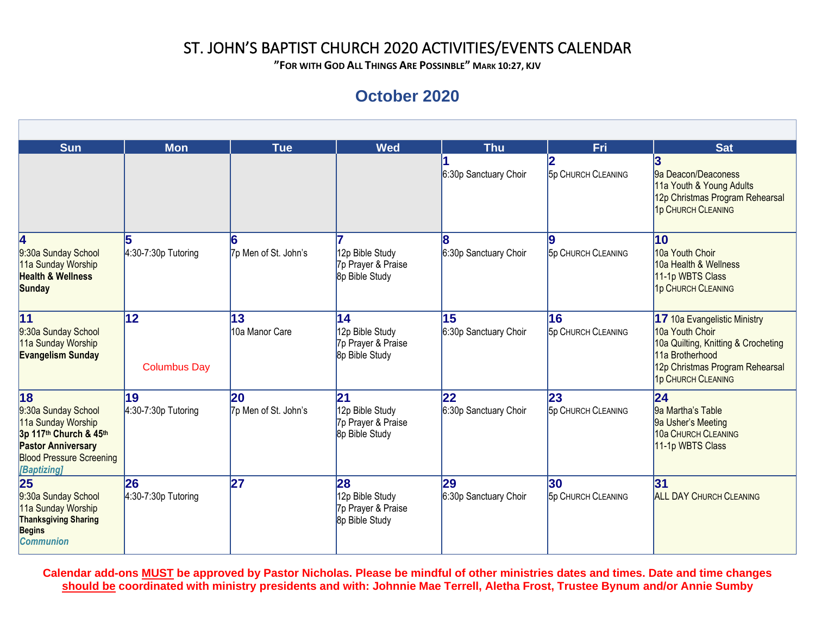**"FOR WITH GOD ALL THINGS ARE POSSINBLE" MARK 10:27, KJV**

### **October 2020**

| <b>Sun</b>                                                                                                                                               | <b>Mon</b>                  | Tue                        | <b>Wed</b>                                                    | <b>Thu</b>                  | Fri                                       | <b>Sat</b>                                                                                                                                                         |
|----------------------------------------------------------------------------------------------------------------------------------------------------------|-----------------------------|----------------------------|---------------------------------------------------------------|-----------------------------|-------------------------------------------|--------------------------------------------------------------------------------------------------------------------------------------------------------------------|
|                                                                                                                                                          |                             |                            |                                                               | 6:30p Sanctuary Choir       | <b>5p CHURCH CLEANING</b>                 | 9a Deacon/Deaconess<br>11a Youth & Young Adults<br>12p Christmas Program Rehearsal<br>1p CHURCH CLEANING                                                           |
| 4<br>9:30a Sunday School<br>11a Sunday Worship<br><b>Health &amp; Wellness</b><br><b>Sunday</b>                                                          | 5<br>4:30-7:30p Tutoring    | 7p Men of St. John's       | 12p Bible Study<br>7p Prayer & Praise<br>8p Bible Study       | 6:30p Sanctuary Choir       | <b>5p CHURCH CLEANING</b>                 | 10<br>10a Youth Choir<br>10a Health & Wellness<br>11-1p WBTS Class<br>1p CHURCH CLEANING                                                                           |
| 11<br>9:30a Sunday School<br>11a Sunday Worship<br><b>Evangelism Sunday</b>                                                                              | 12<br><b>Columbus Day</b>   | 13<br>10a Manor Care       | 14<br>12p Bible Study<br>7p Prayer & Praise<br>8p Bible Study | 15<br>6:30p Sanctuary Choir | 16<br><b>5p CHURCH CLEANING</b>           | 17 10a Evangelistic Ministry<br>10a Youth Choir<br>10a Quilting, Knitting & Crocheting<br>11a Brotherhood<br>12p Christmas Program Rehearsal<br>1p CHURCH CLEANING |
| 18<br>9:30a Sunday School<br>11a Sunday Worship<br>3p 117th Church & 45th<br><b>Pastor Anniversary</b><br><b>Blood Pressure Screening</b><br>[Baptizing] | 19<br>$4:30-7:30p$ Tutoring | 20<br>7p Men of St. John's | 21<br>12p Bible Study<br>7p Prayer & Praise<br>8p Bible Study | 22<br>6:30p Sanctuary Choir | $ 23\rangle$<br><b>5p CHURCH CLEANING</b> | 24<br>9a Martha's Table<br>9a Usher's Meeting<br>10a CHURCH CLEANING<br>11-1p WBTS Class                                                                           |
| 25<br>9:30a Sunday School<br>11a Sunday Worship<br><b>Thanksgiving Sharing</b><br><b>Begins</b><br><b>Communion</b>                                      | 26<br>$4:30-7:30p$ Tutoring | 27                         | 28<br>12p Bible Study<br>7p Prayer & Praise<br>8p Bible Study | 29<br>6:30p Sanctuary Choir | 30<br><b>5p CHURCH CLEANING</b>           | 31<br><b>ALL DAY CHURCH CLEANING</b>                                                                                                                               |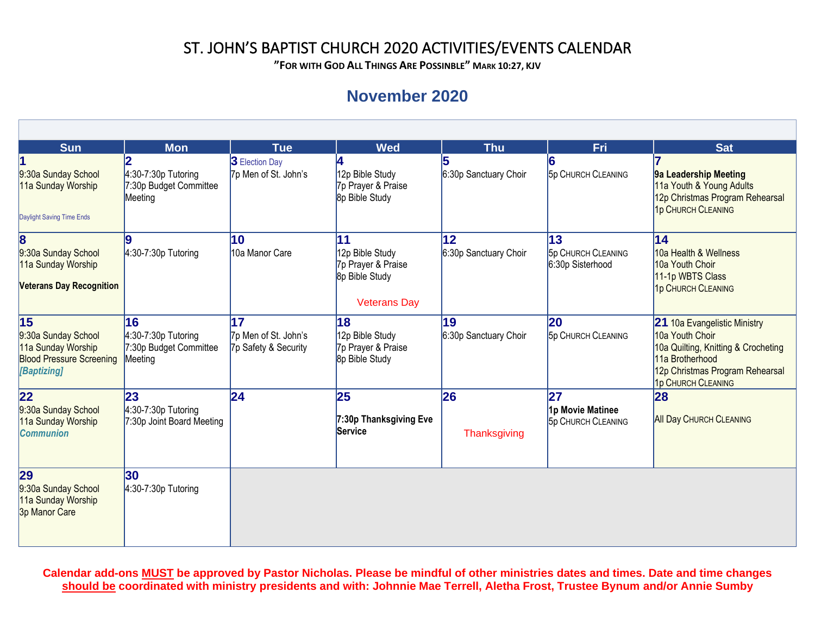**"FOR WITH GOD ALL THINGS ARE POSSINBLE" MARK 10:27, KJV**

### **November 2020**

| <b>Sun</b>                                                                                        | <b>Mon</b>                                                       | <b>Tue</b>                                         | <b>Wed</b>                                                                           | <b>Thu</b>                  | Fri                                                 | <b>Sat</b>                                                                                                                                                         |
|---------------------------------------------------------------------------------------------------|------------------------------------------------------------------|----------------------------------------------------|--------------------------------------------------------------------------------------|-----------------------------|-----------------------------------------------------|--------------------------------------------------------------------------------------------------------------------------------------------------------------------|
| 9:30a Sunday School<br>11a Sunday Worship<br>Daylight Saving Time Ends                            | $4:30-7:30p$ Tutoring<br>7:30p Budget Committee<br>Meeting       | <b>3</b> Election Day<br>7p Men of St. John's      | 12p Bible Study<br>7p Prayer & Praise<br>8p Bible Study                              | 6:30p Sanctuary Choir       | <b>5p CHURCH CLEANING</b>                           | 9a Leadership Meeting<br>11a Youth & Young Adults<br>12p Christmas Program Rehearsal<br>1p CHURCH CLEANING                                                         |
| 8<br>9:30a Sunday School<br>11a Sunday Worship<br><b>Veterans Day Recognition</b>                 | $4:30-7:30p$ Tutoring                                            | 10<br>10a Manor Care                               | 11<br>12p Bible Study<br>7p Prayer & Praise<br>8p Bible Study<br><b>Veterans Day</b> | 12<br>6:30p Sanctuary Choir | 13<br><b>5p CHURCH CLEANING</b><br>6:30p Sisterhood | $\overline{14}$<br>10a Health & Wellness<br>10a Youth Choir<br>11-1p WBTS Class<br>1p CHURCH CLEANING                                                              |
| 15<br>9:30a Sunday School<br>11a Sunday Worship<br><b>Blood Pressure Screening</b><br>[Baptizing] | 16<br>$4:30-7:30p$ Tutoring<br>7:30p Budget Committee<br>Meeting | 17<br>7p Men of St. John's<br>7p Safety & Security | 18<br>12p Bible Study<br>7p Prayer & Praise<br>8p Bible Study                        | 19<br>6:30p Sanctuary Choir | 20<br><b>5p CHURCH CLEANING</b>                     | 21 10a Evangelistic Ministry<br>10a Youth Choir<br>10a Quilting, Knitting & Crocheting<br>11a Brotherhood<br>12p Christmas Program Rehearsal<br>1p CHURCH CLEANING |
| 22<br>9:30a Sunday School<br>11a Sunday Worship<br><b>Communion</b>                               | 23<br>$4:30-7:30p$ Tutoring<br>7:30p Joint Board Meeting         | 24                                                 | 25<br>7:30p Thanksgiving Eve<br>Service                                              | 26<br>Thanksgiving          | 27<br>1p Movie Matinee<br><b>5p CHURCH CLEANING</b> | 28<br><b>All Day CHURCH CLEANING</b>                                                                                                                               |
| 29<br>9:30a Sunday School<br>11a Sunday Worship<br>3p Manor Care                                  | 30<br>$4:30-7:30p$ Tutoring                                      |                                                    |                                                                                      |                             |                                                     |                                                                                                                                                                    |